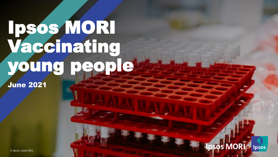# Ipsos MORI Vaccinating young people

June 2021

**Ipsos MORI** Ipsos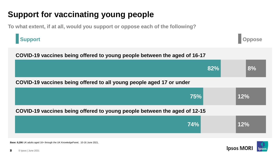# **Support for vaccinating young people**

**To what extent, if at all, would you support or oppose each of the following?**

#### **Support**

**Oppose**

| COVID-19 vaccines being offered to young people between the aged of 16-17 |     |     |  |  |
|---------------------------------------------------------------------------|-----|-----|--|--|
|                                                                           | 82% | 8%  |  |  |
| COVID-19 vaccines being offered to all young people aged 17 or under      |     |     |  |  |
| <b>75%</b>                                                                |     | 12% |  |  |
| COVID-19 vaccines being offered to young people between the aged of 12-15 |     |     |  |  |
| 74%                                                                       |     | 12% |  |  |



**Base: 8,206** UK adults aged 16+ through the UK KnowledgePanel, 10-16 June 2021.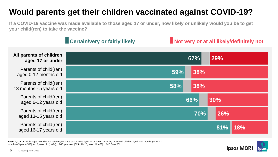## **Would parents get their children vaccinated against COVID-19?**

**If a COVID-19 vaccine was made available to those aged 17 or under, how likely or unlikely would you be to get your child(ren) to take the vaccine?**

|                                                  | <b>Certain/very or fairly likely</b> |     |     |     | Not very or at all likely/definitely not |
|--------------------------------------------------|--------------------------------------|-----|-----|-----|------------------------------------------|
| All parents of children<br>aged 17 or under      |                                      |     | 67% | 29% |                                          |
| Parents of child(ren)<br>aged 0-12 months old    |                                      | 59% | 38% |     |                                          |
| Parents of child(ren)<br>13 months - 5 years old |                                      | 58% | 38% |     |                                          |
| Parents of child(ren)<br>aged 6-12 years old     |                                      |     | 66% | 30% |                                          |
| Parents of child(ren)<br>aged 13-15 years old    |                                      |     | 70% | 26% |                                          |
| Parents of child(ren)<br>aged 16-17 years old    |                                      |     |     | 81% | 18%                                      |

**Base: 2,014** UK adults aged 16+ who are parents/guardians to someone aged 17 or under, including those with children aged 0-12 months (148), 13 months – 5 years (563), 6-12 years old (1,034), 13-15 years old (625), 16-17 years old (473), 10-16 June 2021.

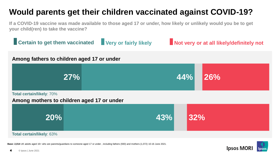## **Would parents get their children vaccinated against COVID-19?**

**If a COVID-19 vaccine was made available to those aged 17 or under, how likely or unlikely would you be to get your child(ren) to take the vaccine?**



**Base: 2,014** UK adults aged 16+ who are parents/guardians to someone aged 17 or under , including fathers (930) and mothers (1,072) 10-16 June 2021.

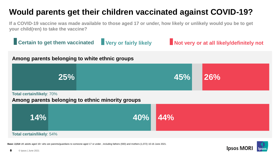## **Would parents get their children vaccinated against COVID-19?**

**If a COVID-19 vaccine was made available to those aged 17 or under, how likely or unlikely would you be to get your child(ren) to take the vaccine?**

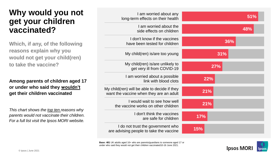#### **Why would you not get your children vaccinated?**

**Which, if any, of the following reasons explain why you would not get your child(ren) to take the vaccine?**

#### **Among parents of children aged 17 or under who said they wouldn't get their children vaccinated**

*This chart shows the top ten reasons why parents would not vaccinate their children. For a full list visit the Ipsos MORI website.*

| I am worried about any<br>long-term effects on their health                             | 51%        |
|-----------------------------------------------------------------------------------------|------------|
| I am worried about the<br>side effects on children                                      | 48%        |
| I don't know if the vaccines<br>have been tested for children                           | 36%        |
| My child(ren) is/are too young                                                          | 31%        |
| My child(ren) is/are unlikely to<br>get very ill from COVID-19                          | <b>27%</b> |
| I am worried about a possible<br>link with blood clots                                  | 22%        |
| My child(ren) will be able to decide if they<br>want the vaccine when they are an adult | 21%        |
| I would wait to see how well<br>the vaccine works on other children                     | 21%        |
| I don't think the vaccines<br>are safe for children                                     | <b>17%</b> |
| I do not trust the government who<br>are advising people to take the vaccine            | 15%        |

**Base: 481** UK adults aged 16+ who are parents/guardians to someone aged 17 or under who said they would not get their children vaccinated10-16 June 2021.

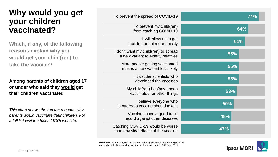#### **Why would you get your children vaccinated?**

**Which, if any, of the following reasons explain why you would get your child(ren) to take the vaccine?**

**Among parents of children aged 17 or under who said they would get their children vaccinated**

*This chart shows the top ten reasons why parents would vaccinate their children. For a full list visit the Ipsos MORI website.*

| To prevent the spread of COVID-19                                          | 74% |
|----------------------------------------------------------------------------|-----|
| To prevent my child(ren)<br>from catching COVID-19                         | 64% |
| It will allow us to get<br>back to normal more quickly                     | 61% |
| I don't want my child(ren) to spread<br>a new variant to elderly relatives | 55% |
| More people getting vaccinated<br>makes a new variant less likely          | 55% |
| I trust the scientists who<br>developed the vaccines                       | 55% |
| My child(ren) has/have been<br>vaccinated for other things                 | 53% |
| I believe everyone who<br>is offered a vaccine should take it              | 50% |
| Vaccines have a good track<br>record against other diseases                | 48% |
| Catching COVID-19 would be worse<br>than any side effects of the vaccine   | 47% |

**Base: 481** UK adults aged 16+ who are parents/guardians to someone aged 17 or under who said they would not get their children vaccinated10-16 June 2021.